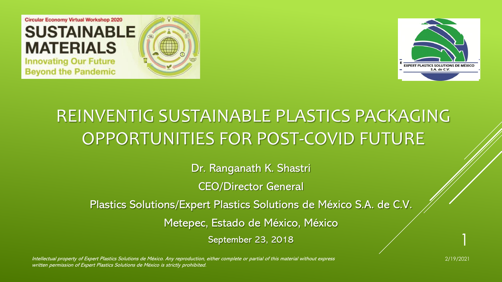



# REINVENTIG SUSTAINABLE PLASTICS PACKAGING OPPORTUNITIES FOR POST-COVID FUTURE

Dr. Ranganath K. Shastri

CEO/Director General

Plastics Solutions/Expert Plastics Solutions de México S.A. de C.V.

Metepec, Estado de México, México

September 23, 2018

Intellectual property of Expert Plastics Solutions de México. Any reproduction, either complete or partial of this material without express 2/19/2021 written permission of Expert Plastics Solutions de México is strictly prohibited.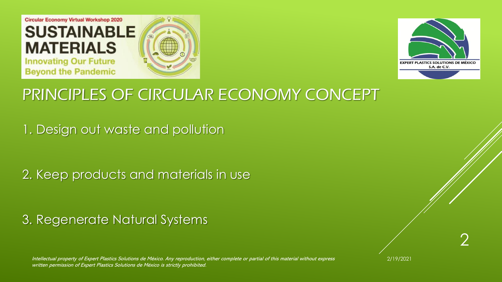



## PRINCIPLES OF CIRCULAR ECONOMY CONCEPT

1. Design out waste and pollution

2. Keep products and materials in use

3. Regenerate Natural Systems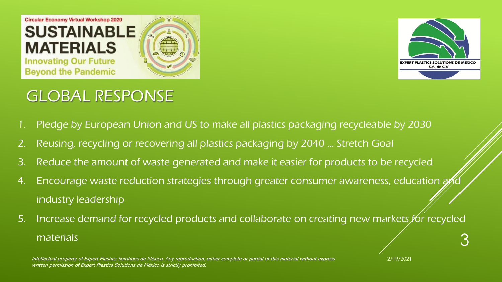



## GLOBAL RESPONSE

- 1. Pledge by European Union and US to make all plastics packaging recycleable by 2030
- 2. Reusing, recycling or recovering all plastics packaging by 2040 … Stretch Goal
- 3. Reduce the amount of waste generated and make it easier for products to be recycled
- 4. Encourage waste reduction strategies through greater consumer awareness, education and industry leadership
- 5. Increase demand for recycled products and collaborate on creating new markets for recycled materials 3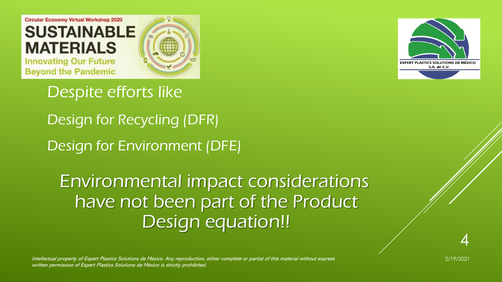

**EXPERT PLASTICS SOLUTIONS DE MÉXICO** S.A. de C.V.

Despite efforts like

Design for Recycling (DFR) Design for Environment (DFE)

Environmental impact considerations have not been part of the Product Design equation!!

Intellectual property of Expert Plastics Solutions de México. Any reproduction, either complete or partial of this material without express 2/19/2021 written permission of Expert Plastics Solutions de México is strictly prohibited.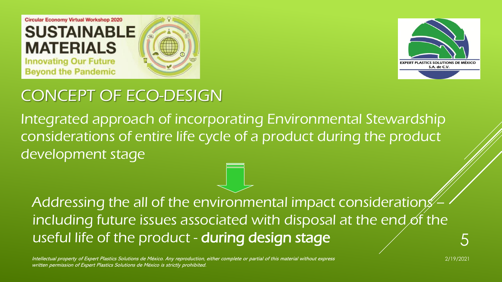



## CONCEPT OF ECO-DESIGN

Integrated approach of incorporating Environmental Stewardship considerations of entire life cycle of a product during the product development stage

Addressing the all of the environmental impact considerations including future issues associated with disposal at the end of the useful life of the product - during design stage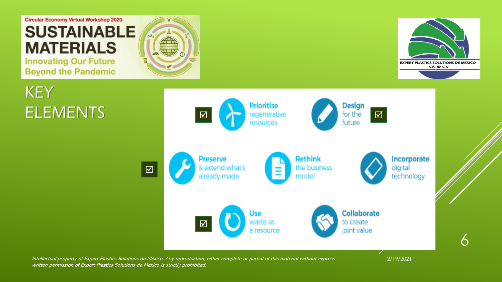

**Beyond the Pandemic** 

**KEY** 





6

ELEMENTS Enter Executive Contract of the Executive Contract of the Executive Contract of the Executive Contract of the Executive Contract of the Executive Contract of the Executive Contract of the Executive Contract of the  $\vert \overline{\mathbf{M}}\vert$ **Rethink Preserve** Incorporate & extend what's  $\overline{\boxtimes}$ the business digital technology already made model Collaborate Use  $\mathbf{\overline{M}}$ waste as to create joint value a resource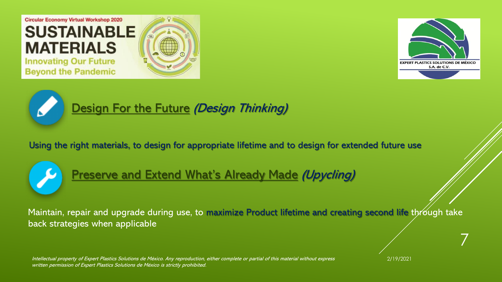





#### [Design](https://circleknowledge.atlassian.net/wiki/spaces/CS/pages/197055/Design+for+the+Future) For the Future (Design Thinking)

Using the right materials, to design for appropriate lifetime and to design for extended future use



#### [Preserve](https://circleknowledge.atlassian.net/wiki/spaces/CS/pages/196804/Preserve+and+Extend+What+s+Already+Made) and Extend What's Already Made (Upycling)

Maintain, repair and upgrade during use, to maximize Product lifetime and creating second life through take back strategies when applicable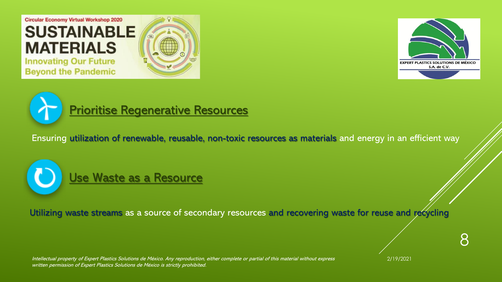





#### Prioritise [Regenerative](https://circleknowledge.atlassian.net/wiki/spaces/CS/pages/196637/Prioritise+Regenerative+Resources) Resources

Ensuring utilization of renewable, reusable, non-toxic resources as materials and energy in an efficient way



Utilizing waste streams as a source of secondary resources and recovering waste for reuse and recycling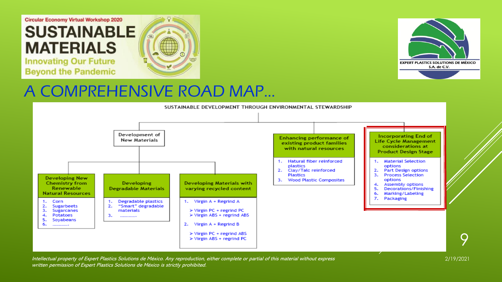



#### A COMPREHENSIVE ROAD MAP…



Intellectual property of Expert Plastics Solutions de México. Any reproduction, either complete or partial of this material without express 2/19/2021 written permission of Expert Plastics Solutions de México is strictly prohibited.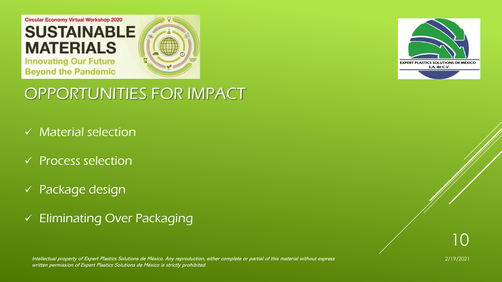



#### OPPORTUNITIES FOR IMPACT

- $\checkmark$  Material selection
- ✓ Process selection
- ✓ Package design
- ✓ Eliminating Over Packaging

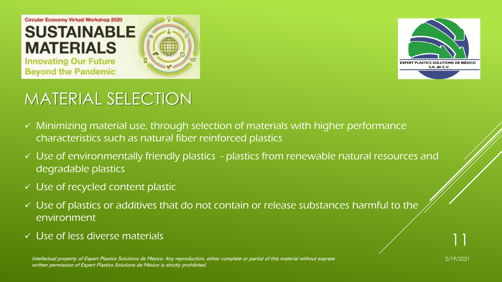



# MATERIAL SELECTION

- ✓ Minimizing material use, through selection of materials with higher performance characteristics such as natural fiber reinforced plastics
- ✓ Use of environmentally friendly plastics plastics from renewable natural resources and degradable plastics
- ✓ Use of recycled content plastic
- $\checkmark$  Use of plastics or additives that do not contain or release substances harmful to the environment
- $\checkmark$  Use of less diverse materials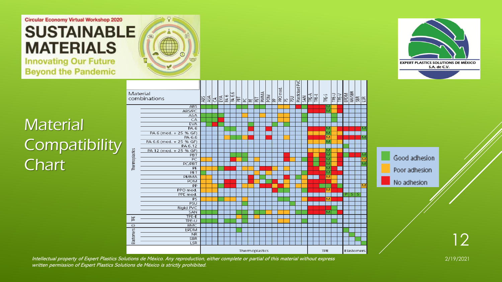#### **Circular Economy Virtual Workshop 2020 SUSTAINABLE MATERIALS Innovating Our Future**

**Beyond the Pandemic** 



## **Material Compatibility** Chart<sup>1</sup>

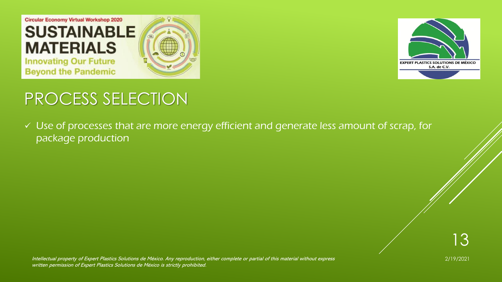



# PROCESS SELECTION

✓ Use of processes that are more energy efficient and generate less amount of scrap, for package production

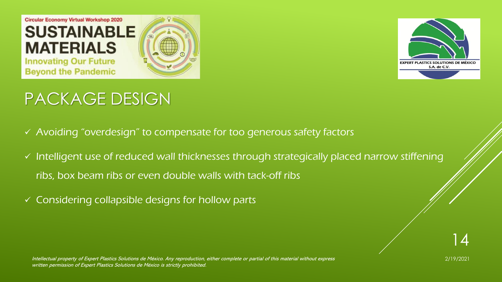



# PACKAGE DESIGN

- ✓ Avoiding "overdesign" to compensate for too generous safety factors
- ✓ Intelligent use of reduced wall thicknesses through strategically placed narrow stiffening ribs, box beam ribs or even double walls with tack-off ribs
- $\checkmark$  Considering collapsible designs for hollow parts

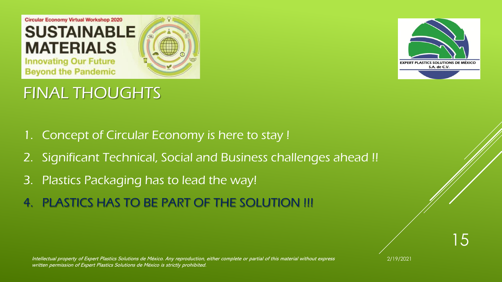



### FINAL THOUGHTS

- 1. Concept of Circular Economy is here to stay !
- 2. Significant Technical, Social and Business challenges ahead !!
- 3. Plastics Packaging has to lead the way!
- 4. PLASTICS HAS TO BE PART OF THE SOLUTION !!!